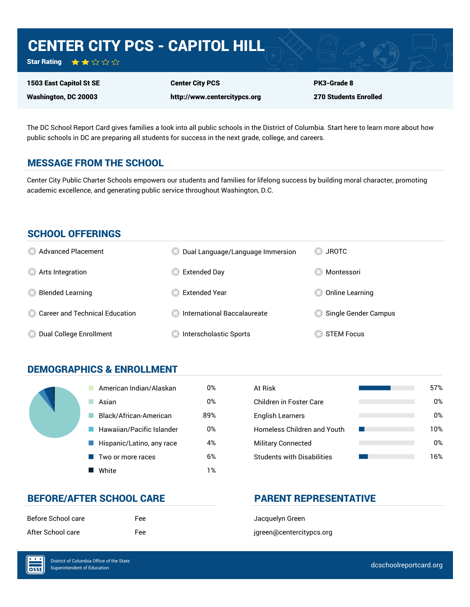# CENTER CITY PCS - CAPITOL HILL

Star Rating ★★☆☆☆

1503 East Capitol St SE Washington, DC 20003

Center City PCS

http://www.centercitypcs.org

PK3-Grade 8 270 Students Enrolled

The DC School Report Card gives families a look into all public schools in the District of Columbia. Start here to learn more about how public schools in DC are preparing all students for success in the next grade, college, and careers.

## MESSAGE FROM THE SCHOOL

Center City Public Charter Schools empowers our students and families for lifelong success by building moral character, promoting academic excellence, and generating public service throughout Washington, D.C.

## SCHOOL OFFERINGS

| <b>8</b> Advanced Placement       | Dual Language/Language Immersion | JROTC<br>CS)         |
|-----------------------------------|----------------------------------|----------------------|
| <b>8</b> Arts Integration         | Extended Day                     | Montessori           |
| <b>Blended Learning</b>           | <b>Extended Year</b>             | Online Learning      |
| 23 Career and Technical Education | ∣ International Baccalaureate    | Single Gender Campus |
| Dual College Enrollment           | Interscholastic Sports           | <b>STEM Focus</b>    |

## DEMOGRAPHICS & ENROLLMENT

| American Indian/Alaskan   | 0%  | At Risk                            |
|---------------------------|-----|------------------------------------|
| Asian                     | 0%  | <b>Children in Foster Care</b>     |
| Black/African-American    | 89% | <b>English Learners</b>            |
| Hawaiian/Pacific Islander | 0%  | <b>Homeless Children and Youth</b> |
| Hispanic/Latino, any race | 4%  | <b>Military Connected</b>          |
| Two or more races         | 6%  | <b>Students with Disabilities</b>  |
| White                     | 1%  |                                    |

| At Risk                           | 57% |
|-----------------------------------|-----|
| Children in Foster Care           | 0%  |
| <b>English Learners</b>           | 0%  |
| Homeless Children and Youth       | 10% |
| <b>Military Connected</b>         | 0%  |
| <b>Students with Disabilities</b> | 16% |

## BEFORE/AFTER SCHOOL CARE **PARENT REPRESENTATIVE**

| Before School care | Fee |
|--------------------|-----|
| After School care  | Fee |

Jacquelyn Green jgreen@centercitypcs.org

 $\overline{\text{OSE}}$